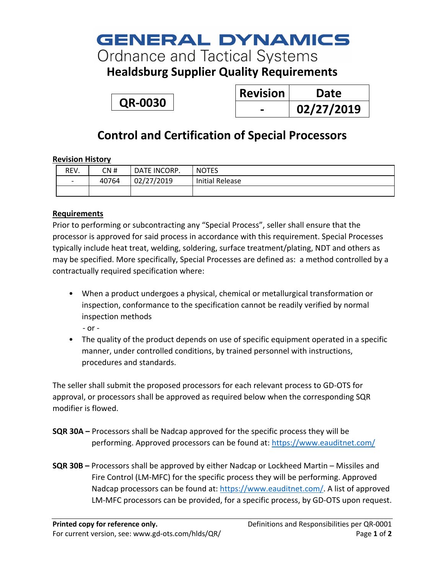# **GENERAL DYNAMICS**

**Ordnance and Tactical Systems** 

**Healdsburg Supplier Quality Requirements**

**QR-0030**

| <b>Revision</b> | Date       |
|-----------------|------------|
|                 | 02/27/2019 |

## **Control and Certification of Special Processors**

### **Revision History**

| REV.                     | CN #  | DATE INCORP. | <b>NOTES</b>           |
|--------------------------|-------|--------------|------------------------|
| $\overline{\phantom{0}}$ | 40764 | 02/27/2019   | <b>Initial Release</b> |
|                          |       |              |                        |

### **Requirements**

Prior to performing or subcontracting any "Special Process", seller shall ensure that the processor is approved for said process in accordance with this requirement. Special Processes typically include heat treat, welding, soldering, surface treatment/plating, NDT and others as may be specified. More specifically, Special Processes are defined as: a method controlled by a contractually required specification where:

• When a product undergoes a physical, chemical or metallurgical transformation or inspection, conformance to the specification cannot be readily verified by normal inspection methods

- or -

• The quality of the product depends on use of specific equipment operated in a specific manner, under controlled conditions, by trained personnel with instructions, procedures and standards.

The seller shall submit the proposed processors for each relevant process to GD-OTS for approval, or processors shall be approved as required below when the corresponding SQR modifier is flowed.

- **SQR 30A –** Processors shall be Nadcap approved for the specific process they will be performing. Approved processors can be found at: https://www.eauditnet.com/
- **SQR 30B –** Processors shall be approved by either Nadcap or Lockheed Martin Missiles and Fire Control (LM-MFC) for the specific process they will be performing. Approved Nadcap processors can be found at: https://www.eauditnet.com/. A list of approved LM-MFC processors can be provided, for a specific process, by GD-OTS upon request.